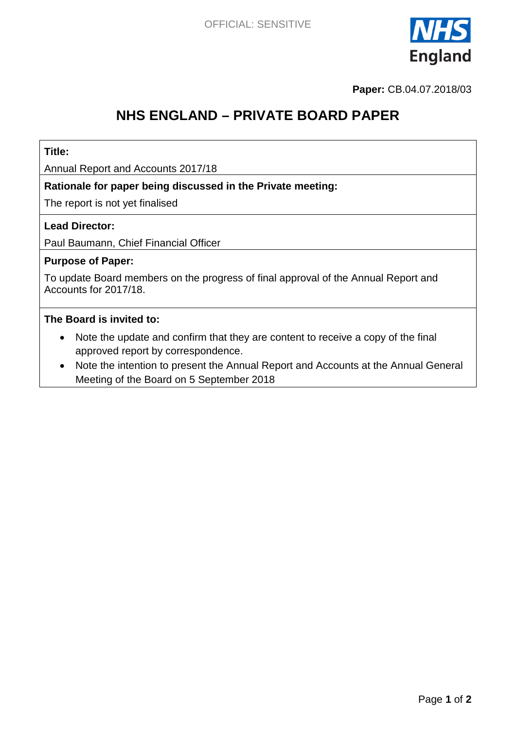

**Paper:** CB.04.07.2018/03

# **NHS ENGLAND – PRIVATE BOARD PAPER**

### **Title:**

Annual Report and Accounts 2017/18

### **Rationale for paper being discussed in the Private meeting:**

The report is not yet finalised

### **Lead Director:**

Paul Baumann, Chief Financial Officer

### **Purpose of Paper:**

To update Board members on the progress of final approval of the Annual Report and Accounts for 2017/18.

#### **The Board is invited to:**

- Note the update and confirm that they are content to receive a copy of the final approved report by correspondence.
- Note the intention to present the Annual Report and Accounts at the Annual General Meeting of the Board on 5 September 2018